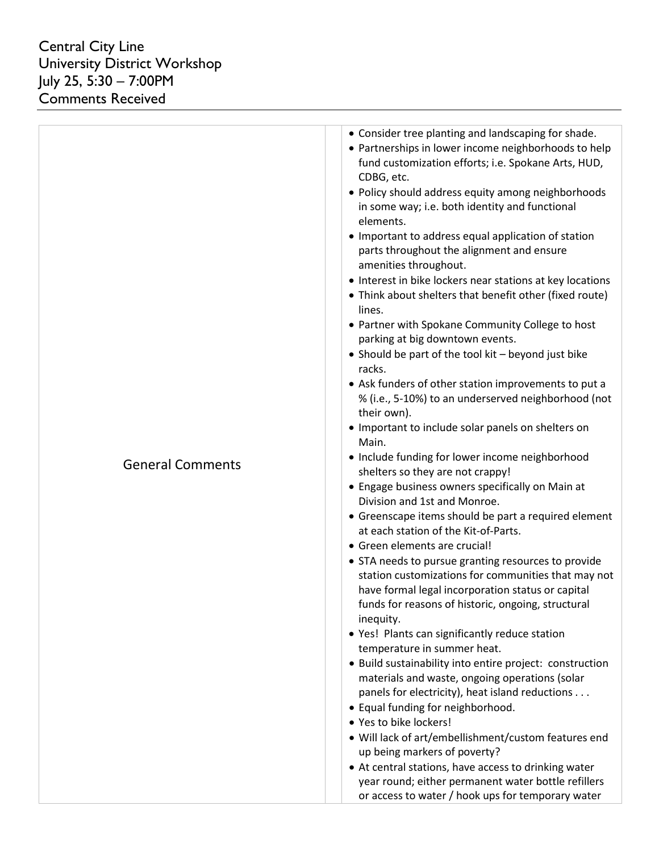| <b>General Comments</b> | • Consider tree planting and landscaping for shade.<br>• Partnerships in lower income neighborhoods to help<br>fund customization efforts; i.e. Spokane Arts, HUD,<br>CDBG, etc.<br>• Policy should address equity among neighborhoods<br>in some way; i.e. both identity and functional<br>elements.<br>• Important to address equal application of station<br>parts throughout the alignment and ensure<br>amenities throughout.<br>• Interest in bike lockers near stations at key locations<br>• Think about shelters that benefit other (fixed route)<br>lines.<br>• Partner with Spokane Community College to host<br>parking at big downtown events.<br>• Should be part of the tool kit - beyond just bike<br>racks.<br>• Ask funders of other station improvements to put a<br>% (i.e., 5-10%) to an underserved neighborhood (not<br>their own).<br>• Important to include solar panels on shelters on<br>Main.<br>• Include funding for lower income neighborhood<br>shelters so they are not crappy!<br>• Engage business owners specifically on Main at<br>Division and 1st and Monroe.<br>• Greenscape items should be part a required element<br>at each station of the Kit-of-Parts.<br>• Green elements are crucial!<br>• STA needs to pursue granting resources to provide<br>station customizations for communities that may not<br>have formal legal incorporation status or capital<br>funds for reasons of historic, ongoing, structural<br>inequity.<br>• Yes! Plants can significantly reduce station<br>temperature in summer heat.<br>• Build sustainability into entire project: construction<br>materials and waste, ongoing operations (solar<br>panels for electricity), heat island reductions<br>• Equal funding for neighborhood.<br>• Yes to bike lockers!<br>· Will lack of art/embellishment/custom features end<br>up being markers of poverty?<br>• At central stations, have access to drinking water<br>year round; either permanent water bottle refillers<br>or access to water / hook ups for temporary water |
|-------------------------|----------------------------------------------------------------------------------------------------------------------------------------------------------------------------------------------------------------------------------------------------------------------------------------------------------------------------------------------------------------------------------------------------------------------------------------------------------------------------------------------------------------------------------------------------------------------------------------------------------------------------------------------------------------------------------------------------------------------------------------------------------------------------------------------------------------------------------------------------------------------------------------------------------------------------------------------------------------------------------------------------------------------------------------------------------------------------------------------------------------------------------------------------------------------------------------------------------------------------------------------------------------------------------------------------------------------------------------------------------------------------------------------------------------------------------------------------------------------------------------------------------------------------------------------------------------------------------------------------------------------------------------------------------------------------------------------------------------------------------------------------------------------------------------------------------------------------------------------------------------------------------------------------------------------------------------------------------------------------------------------------------------------------------------------------------|
|-------------------------|----------------------------------------------------------------------------------------------------------------------------------------------------------------------------------------------------------------------------------------------------------------------------------------------------------------------------------------------------------------------------------------------------------------------------------------------------------------------------------------------------------------------------------------------------------------------------------------------------------------------------------------------------------------------------------------------------------------------------------------------------------------------------------------------------------------------------------------------------------------------------------------------------------------------------------------------------------------------------------------------------------------------------------------------------------------------------------------------------------------------------------------------------------------------------------------------------------------------------------------------------------------------------------------------------------------------------------------------------------------------------------------------------------------------------------------------------------------------------------------------------------------------------------------------------------------------------------------------------------------------------------------------------------------------------------------------------------------------------------------------------------------------------------------------------------------------------------------------------------------------------------------------------------------------------------------------------------------------------------------------------------------------------------------------------------|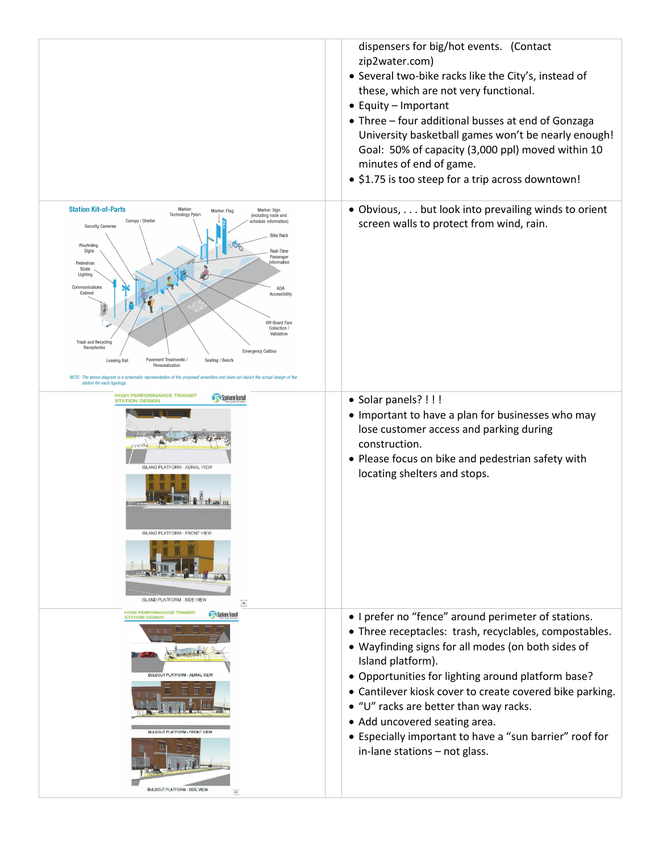